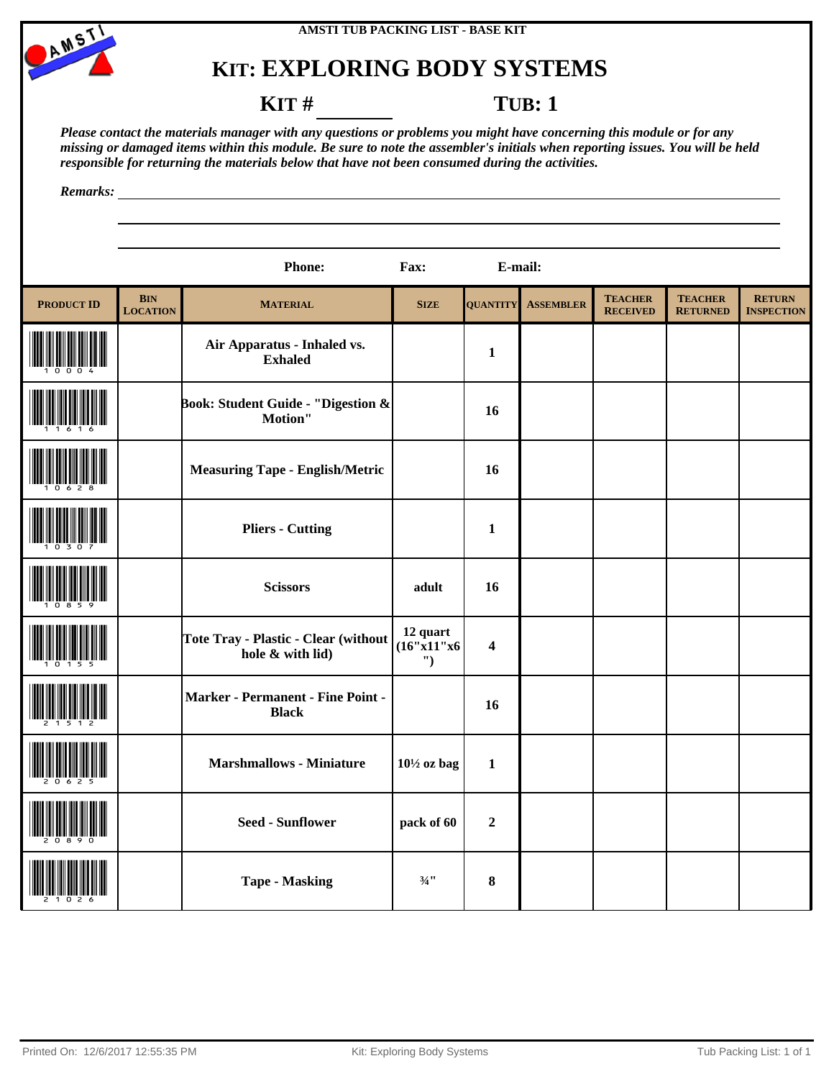



### **KIT** # **TUB**: 1

*Please contact the materials manager with any questions or problems you might have concerning this module or for any missing or damaged items within this module. Be sure to note the assembler's initials when reporting issues. You will be held responsible for returning the materials below that have not been consumed during the activities.*

|                   |                               | <b>Phone:</b>                                            | Fax:                        | E-mail:                 |                  |                                   |                                   |                                    |
|-------------------|-------------------------------|----------------------------------------------------------|-----------------------------|-------------------------|------------------|-----------------------------------|-----------------------------------|------------------------------------|
| <b>PRODUCT ID</b> | <b>BIN</b><br><b>LOCATION</b> | <b>MATERIAL</b>                                          | <b>SIZE</b>                 | <b>QUANTITY</b>         | <b>ASSEMBLER</b> | <b>TEACHER</b><br><b>RECEIVED</b> | <b>TEACHER</b><br><b>RETURNED</b> | <b>RETURN</b><br><b>INSPECTION</b> |
|                   |                               | Air Apparatus - Inhaled vs.<br><b>Exhaled</b>            |                             | $\mathbf{1}$            |                  |                                   |                                   |                                    |
|                   |                               | Book: Student Guide - "Digestion &<br>Motion"            |                             | 16                      |                  |                                   |                                   |                                    |
|                   |                               | <b>Measuring Tape - English/Metric</b>                   |                             | 16                      |                  |                                   |                                   |                                    |
|                   |                               | <b>Pliers - Cutting</b>                                  |                             | $\mathbf{1}$            |                  |                                   |                                   |                                    |
|                   |                               | <b>Scissors</b>                                          | adult                       | 16                      |                  |                                   |                                   |                                    |
|                   |                               | Tote Tray - Plastic - Clear (without<br>hole & with lid) | 12 quart<br>(16"x11"x6<br>" | $\overline{\mathbf{4}}$ |                  |                                   |                                   |                                    |
|                   |                               | Marker - Permanent - Fine Point -<br><b>Black</b>        |                             | 16                      |                  |                                   |                                   |                                    |
|                   |                               | <b>Marshmallows - Miniature</b>                          | $10\frac{1}{2}$ oz bag      | $\mathbf{1}$            |                  |                                   |                                   |                                    |
|                   |                               | <b>Seed - Sunflower</b>                                  | pack of 60                  | $\overline{2}$          |                  |                                   |                                   |                                    |
|                   |                               | <b>Tape - Masking</b>                                    | $\frac{3}{4}$ ''            | $\bf{8}$                |                  |                                   |                                   |                                    |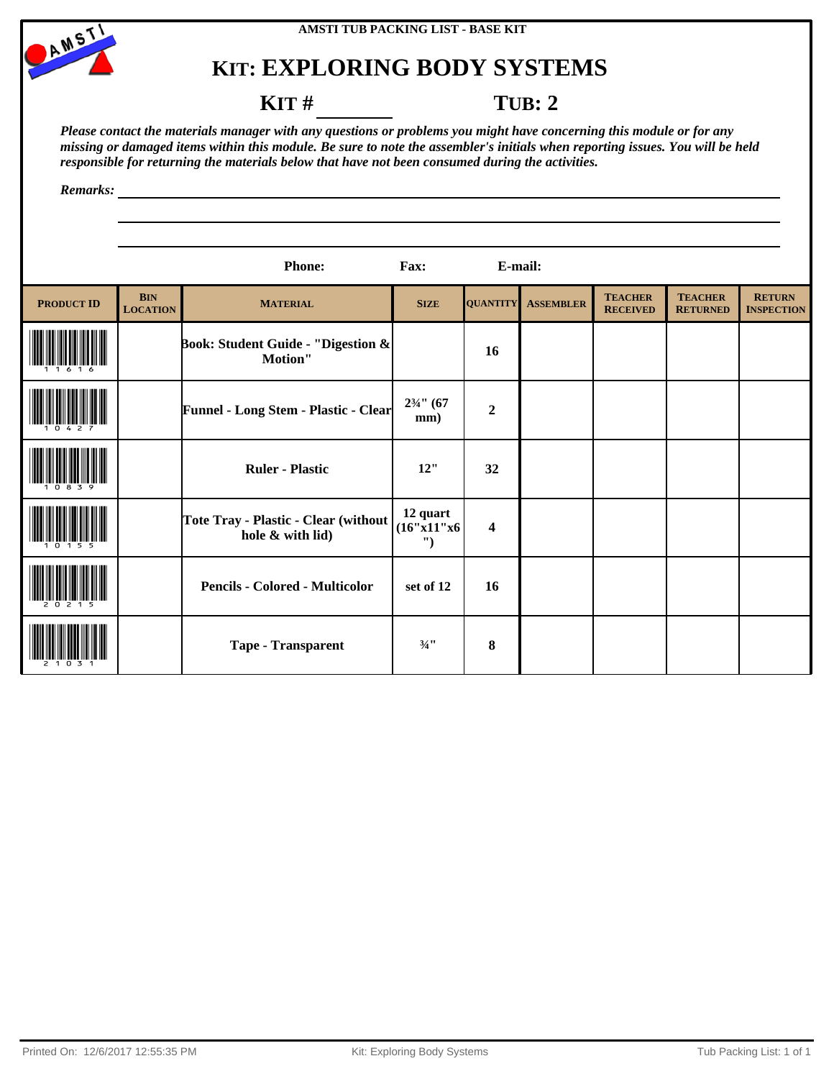



### **KIT** # **TUB: 2**

*Please contact the materials manager with any questions or problems you might have concerning this module or for any missing or damaged items within this module. Be sure to note the assembler's initials when reporting issues. You will be held responsible for returning the materials below that have not been consumed during the activities.*

|                   |                               | Phone:                                                   | Fax:                        | E-mail:                 |                  |                                   |                                   |                                    |
|-------------------|-------------------------------|----------------------------------------------------------|-----------------------------|-------------------------|------------------|-----------------------------------|-----------------------------------|------------------------------------|
| <b>PRODUCT ID</b> | <b>BIN</b><br><b>LOCATION</b> | <b>MATERIAL</b>                                          | <b>SIZE</b>                 | <b>QUANTITY</b>         | <b>ASSEMBLER</b> | <b>TEACHER</b><br><b>RECEIVED</b> | <b>TEACHER</b><br><b>RETURNED</b> | <b>RETURN</b><br><b>INSPECTION</b> |
|                   |                               | Book: Student Guide - "Digestion &<br>Motion"            |                             | 16                      |                  |                                   |                                   |                                    |
|                   |                               | <b>Funnel - Long Stem - Plastic - Clear</b>              | $2\frac{3}{4}$ " (67<br>mm) | $\boldsymbol{2}$        |                  |                                   |                                   |                                    |
|                   |                               | <b>Ruler - Plastic</b>                                   | 12"                         | 32                      |                  |                                   |                                   |                                    |
|                   |                               | Tote Tray - Plastic - Clear (without<br>hole & with lid) | 12 quart<br>(16"x11"x6<br>" | $\overline{\mathbf{4}}$ |                  |                                   |                                   |                                    |
|                   |                               | <b>Pencils - Colored - Multicolor</b>                    | set of 12                   | 16                      |                  |                                   |                                   |                                    |
|                   |                               | <b>Tape - Transparent</b>                                | $3/4$ <sup>11</sup>         | 8                       |                  |                                   |                                   |                                    |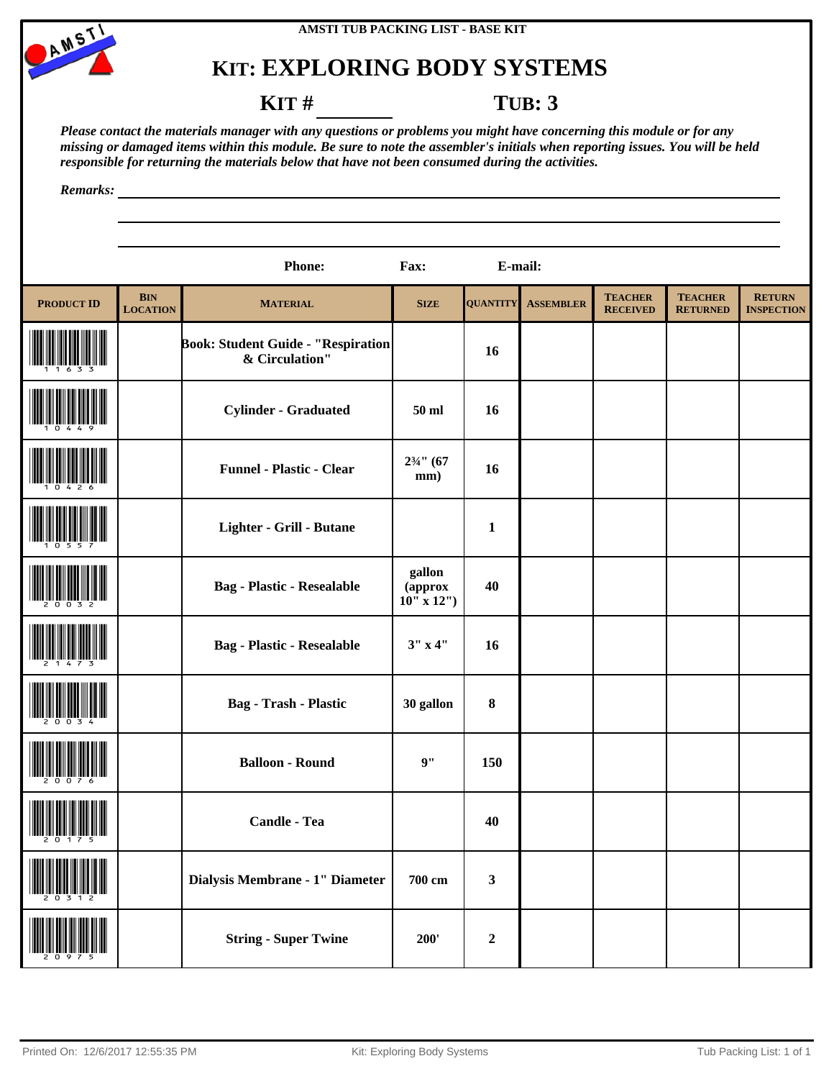



#### **KIT** # **TUB: 3**

*Please contact the materials manager with any questions or problems you might have concerning this module or for any missing or damaged items within this module. Be sure to note the assembler's initials when reporting issues. You will be held responsible for returning the materials below that have not been consumed during the activities.*

|                   |                               | <b>Phone:</b>                                        | Fax:                                     | E-mail:         |                  |                                   |                                   |                                    |
|-------------------|-------------------------------|------------------------------------------------------|------------------------------------------|-----------------|------------------|-----------------------------------|-----------------------------------|------------------------------------|
| <b>PRODUCT ID</b> | <b>BIN</b><br><b>LOCATION</b> | <b>MATERIAL</b>                                      | <b>SIZE</b>                              | <b>QUANTITY</b> | <b>ASSEMBLER</b> | <b>TEACHER</b><br><b>RECEIVED</b> | <b>TEACHER</b><br><b>RETURNED</b> | <b>RETURN</b><br><b>INSPECTION</b> |
|                   |                               | Book: Student Guide - "Respiration<br>& Circulation" |                                          | 16              |                  |                                   |                                   |                                    |
|                   |                               | <b>Cylinder - Graduated</b>                          | 50 ml                                    | 16              |                  |                                   |                                   |                                    |
|                   |                               | <b>Funnel - Plastic - Clear</b>                      | $2\frac{3}{4}$ " (67<br>mm)              | 16              |                  |                                   |                                   |                                    |
|                   |                               | Lighter - Grill - Butane                             |                                          | $\mathbf{1}$    |                  |                                   |                                   |                                    |
|                   |                               | <b>Bag - Plastic - Resealable</b>                    | gallon<br>(approx<br>$10^{11}$ x $12'$ ) | 40              |                  |                                   |                                   |                                    |
|                   |                               | <b>Bag - Plastic - Resealable</b>                    | 3'' x 4''                                | 16              |                  |                                   |                                   |                                    |
|                   |                               | <b>Bag</b> - Trash - Plastic                         | 30 gallon                                | $\bf{8}$        |                  |                                   |                                   |                                    |
|                   |                               | <b>Balloon - Round</b>                               | 9"                                       | 150             |                  |                                   |                                   |                                    |
|                   |                               | Candle - Tea                                         |                                          | 40              |                  |                                   |                                   |                                    |
|                   |                               | Dialysis Membrane - 1" Diameter                      | 700 cm                                   | $\mathbf{3}$    |                  |                                   |                                   |                                    |
|                   |                               | <b>String - Super Twine</b>                          | 200'                                     | $\mathbf 2$     |                  |                                   |                                   |                                    |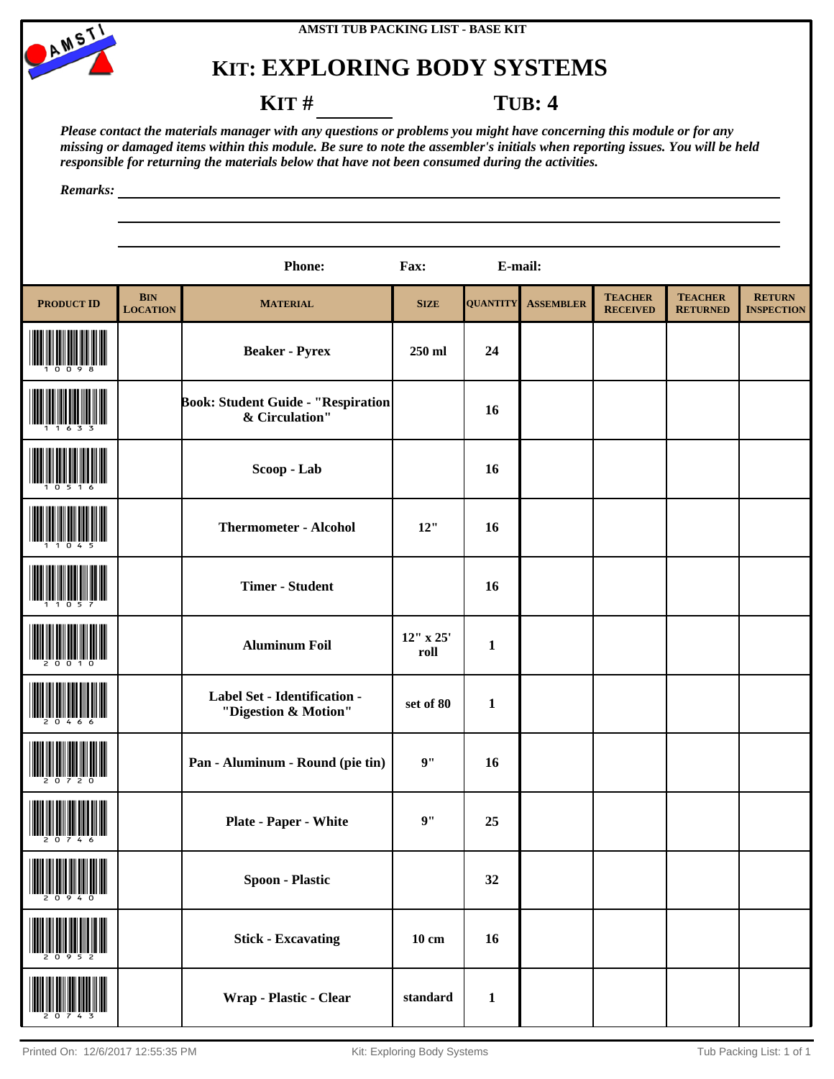



### **KIT** # **TUB: 4**

*Please contact the materials manager with any questions or problems you might have concerning this module or for any missing or damaged items within this module. Be sure to note the assembler's initials when reporting issues. You will be held responsible for returning the materials below that have not been consumed during the activities.*

|                   |                               | <b>Phone:</b>                                               | Fax:              | E-mail:         |                  |                                   |                                   |                                    |
|-------------------|-------------------------------|-------------------------------------------------------------|-------------------|-----------------|------------------|-----------------------------------|-----------------------------------|------------------------------------|
| <b>PRODUCT ID</b> | <b>BIN</b><br><b>LOCATION</b> | <b>MATERIAL</b>                                             | <b>SIZE</b>       | <b>QUANTITY</b> | <b>ASSEMBLER</b> | <b>TEACHER</b><br><b>RECEIVED</b> | <b>TEACHER</b><br><b>RETURNED</b> | <b>RETURN</b><br><b>INSPECTION</b> |
|                   |                               | <b>Beaker - Pyrex</b>                                       | 250 ml            | 24              |                  |                                   |                                   |                                    |
|                   |                               | <b>Book: Student Guide - "Respiration</b><br>& Circulation" |                   | <b>16</b>       |                  |                                   |                                   |                                    |
|                   |                               | Scoop - Lab                                                 |                   | 16              |                  |                                   |                                   |                                    |
|                   |                               | <b>Thermometer - Alcohol</b>                                | 12"               | 16              |                  |                                   |                                   |                                    |
|                   |                               | <b>Timer - Student</b>                                      |                   | 16              |                  |                                   |                                   |                                    |
|                   |                               | <b>Aluminum Foil</b>                                        | 12" x 25'<br>roll | $\mathbf{1}$    |                  |                                   |                                   |                                    |
|                   |                               | Label Set - Identification -<br>"Digestion & Motion"        | set of 80         | $\mathbf{1}$    |                  |                                   |                                   |                                    |
|                   |                               | Pan - Aluminum - Round (pie tin)                            | 9"                | 16              |                  |                                   |                                   |                                    |
|                   |                               | Plate - Paper - White                                       | 9"                | 25              |                  |                                   |                                   |                                    |
|                   |                               | <b>Spoon - Plastic</b>                                      |                   | 32              |                  |                                   |                                   |                                    |
|                   |                               | <b>Stick - Excavating</b>                                   | $10 \text{ cm}$   | 16              |                  |                                   |                                   |                                    |
|                   |                               | Wrap - Plastic - Clear                                      | standard          | $\mathbf{1}$    |                  |                                   |                                   |                                    |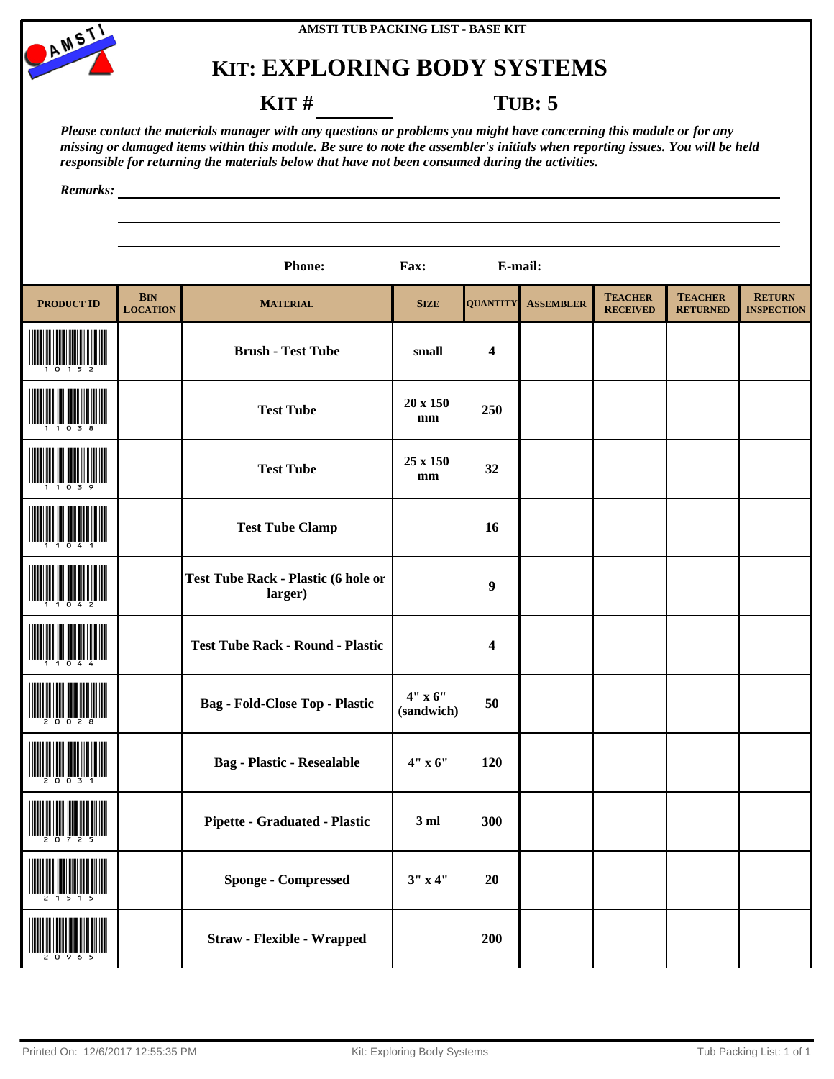



### **KIT** # **TUB: 5**

*Please contact the materials manager with any questions or problems you might have concerning this module or for any missing or damaged items within this module. Be sure to note the assembler's initials when reporting issues. You will be held responsible for returning the materials below that have not been consumed during the activities.*

|                                                             |                               | <b>Phone:</b>                                         | Fax:                      | E-mail:                 |                  |                                   |                                   |                                    |
|-------------------------------------------------------------|-------------------------------|-------------------------------------------------------|---------------------------|-------------------------|------------------|-----------------------------------|-----------------------------------|------------------------------------|
| <b>PRODUCT ID</b>                                           | <b>BIN</b><br><b>LOCATION</b> | <b>MATERIAL</b>                                       | <b>SIZE</b>               | <b>QUANTITY</b>         | <b>ASSEMBLER</b> | <b>TEACHER</b><br><b>RECEIVED</b> | <b>TEACHER</b><br><b>RETURNED</b> | <b>RETURN</b><br><b>INSPECTION</b> |
|                                                             |                               | <b>Brush - Test Tube</b>                              | small                     | $\overline{\mathbf{4}}$ |                  |                                   |                                   |                                    |
|                                                             |                               | <b>Test Tube</b>                                      | 20 x 150<br>mm            | 250                     |                  |                                   |                                   |                                    |
|                                                             |                               | <b>Test Tube</b>                                      | 25 x 150<br>$\mathbf{mm}$ | 32                      |                  |                                   |                                   |                                    |
|                                                             |                               | <b>Test Tube Clamp</b>                                |                           | 16                      |                  |                                   |                                   |                                    |
|                                                             |                               | <b>Test Tube Rack - Plastic (6 hole or</b><br>larger) |                           | $\boldsymbol{9}$        |                  |                                   |                                   |                                    |
|                                                             |                               | <b>Test Tube Rack - Round - Plastic</b>               |                           | 4                       |                  |                                   |                                   |                                    |
|                                                             |                               | <b>Bag - Fold-Close Top - Plastic</b>                 | 4" x 6"<br>(sandwich)     | 50                      |                  |                                   |                                   |                                    |
|                                                             |                               | <b>Bag - Plastic - Resealable</b>                     | 4" x 6"                   | 120                     |                  |                                   |                                   |                                    |
| $\begin{array}{c} \begin{array}{c} \end{array} \end{array}$ |                               | Pipette - Graduated - Plastic                         | 3ml                       | 300                     |                  |                                   |                                   |                                    |
|                                                             |                               | <b>Sponge - Compressed</b>                            | $3''$ x 4"                | 20                      |                  |                                   |                                   |                                    |
|                                                             |                               | <b>Straw - Flexible - Wrapped</b>                     |                           | 200                     |                  |                                   |                                   |                                    |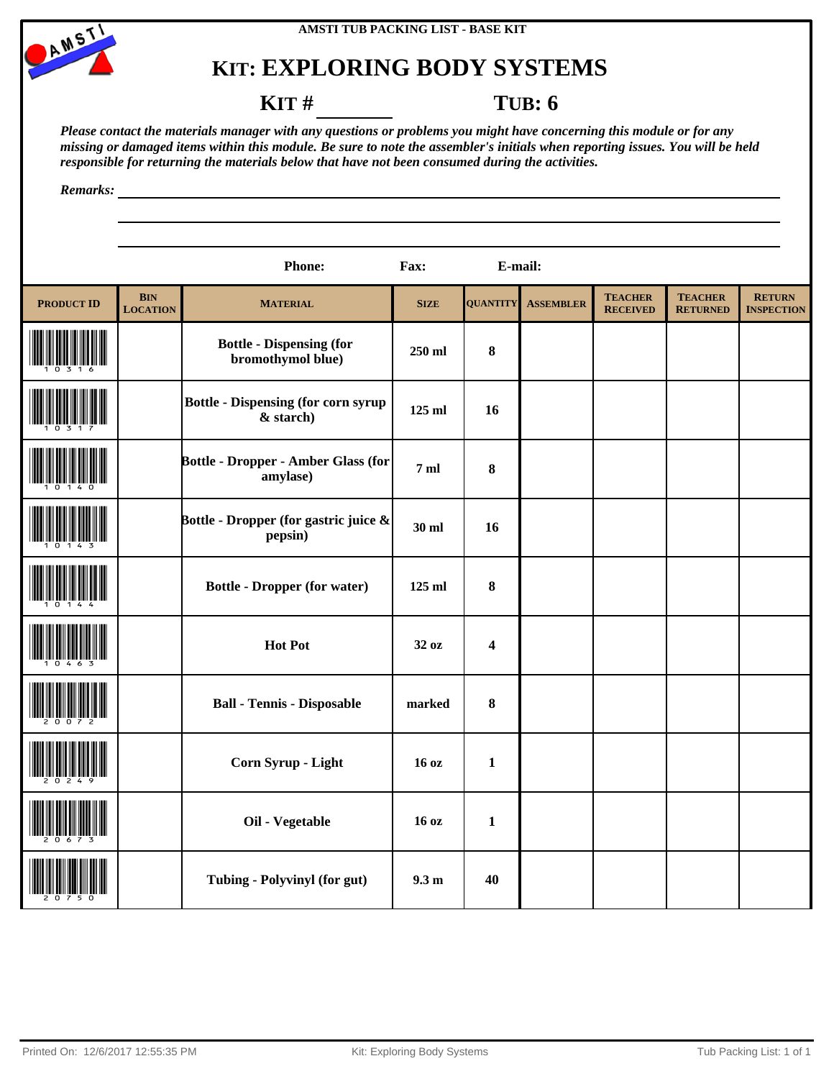



### **KIT** # **TUB: 6**

*Please contact the materials manager with any questions or problems you might have concerning this module or for any missing or damaged items within this module. Be sure to note the assembler's initials when reporting issues. You will be held responsible for returning the materials below that have not been consumed during the activities.*

|                   |                               | <b>Phone:</b>                                           | Fax:             | E-mail:                 |                  |                                   |                                   |                                    |
|-------------------|-------------------------------|---------------------------------------------------------|------------------|-------------------------|------------------|-----------------------------------|-----------------------------------|------------------------------------|
| <b>PRODUCT ID</b> | <b>BIN</b><br><b>LOCATION</b> | <b>MATERIAL</b>                                         | <b>SIZE</b>      | <b>QUANTITY</b>         | <b>ASSEMBLER</b> | <b>TEACHER</b><br><b>RECEIVED</b> | <b>TEACHER</b><br><b>RETURNED</b> | <b>RETURN</b><br><b>INSPECTION</b> |
|                   |                               | <b>Bottle - Dispensing (for</b><br>bromothymol blue)    | 250 ml           | 8                       |                  |                                   |                                   |                                    |
|                   |                               | <b>Bottle - Dispensing (for corn syrup</b><br>& starch) | 125 ml           | 16                      |                  |                                   |                                   |                                    |
|                   |                               | <b>Bottle - Dropper - Amber Glass (for</b><br>amylase)  | 7 <sub>m</sub>   | $\bf 8$                 |                  |                                   |                                   |                                    |
|                   |                               | Bottle - Dropper (for gastric juice &<br>pepsin)        | 30 ml            | 16                      |                  |                                   |                                   |                                    |
|                   |                               | <b>Bottle - Dropper (for water)</b>                     | 125 ml           | 8                       |                  |                                   |                                   |                                    |
|                   |                               | <b>Hot Pot</b>                                          | 32 oz            | $\overline{\mathbf{4}}$ |                  |                                   |                                   |                                    |
|                   |                               | <b>Ball - Tennis - Disposable</b>                       | marked           | $\bf 8$                 |                  |                                   |                                   |                                    |
|                   |                               | Corn Syrup - Light                                      | 16 oz            | $\mathbf{1}$            |                  |                                   |                                   |                                    |
|                   |                               | Oil - Vegetable                                         | 16 <sub>oz</sub> | $\mathbf{1}$            |                  |                                   |                                   |                                    |
|                   |                               | Tubing - Polyvinyl (for gut)                            | 9.3 <sub>m</sub> | 40                      |                  |                                   |                                   |                                    |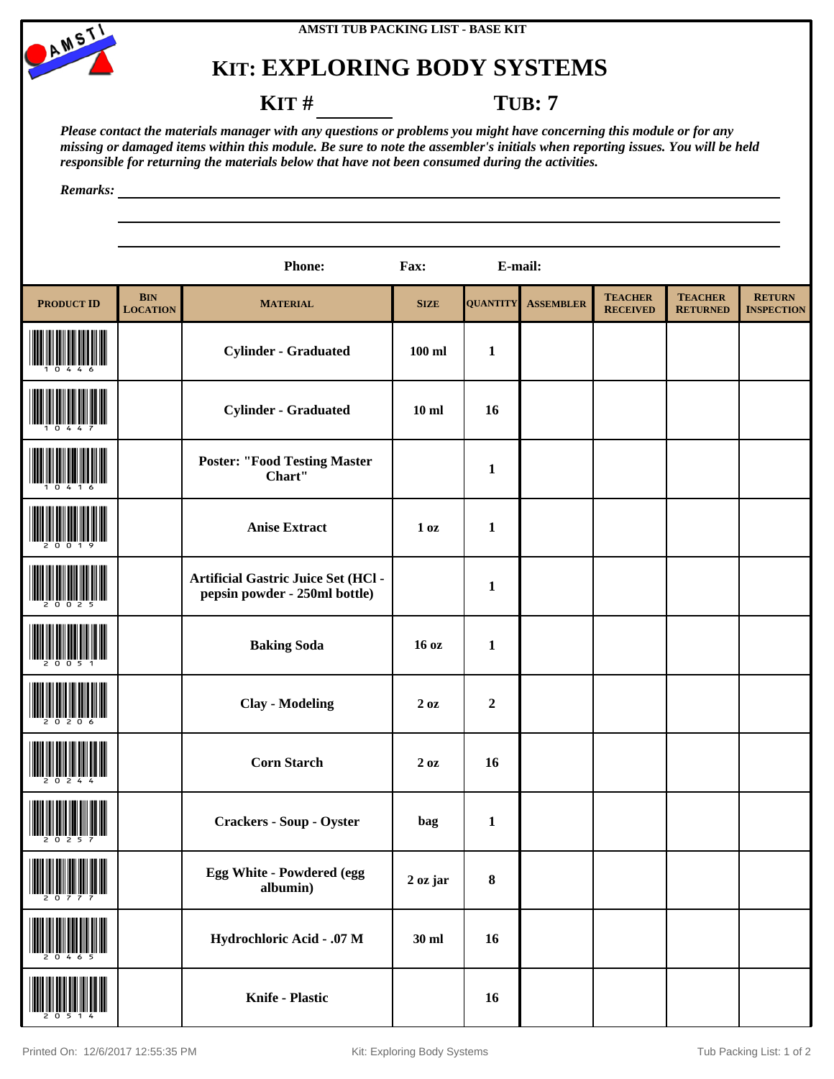



### **KIT** # **TUB: 7**

*Please contact the materials manager with any questions or problems you might have concerning this module or for any missing or damaged items within this module. Be sure to note the assembler's initials when reporting issues. You will be held responsible for returning the materials below that have not been consumed during the activities.*

|                   |                               | <b>Phone:</b>                                                               | Fax:            | E-mail:          |                  |                                   |                                   |                                    |
|-------------------|-------------------------------|-----------------------------------------------------------------------------|-----------------|------------------|------------------|-----------------------------------|-----------------------------------|------------------------------------|
| <b>PRODUCT ID</b> | <b>BIN</b><br><b>LOCATION</b> | <b>MATERIAL</b>                                                             | <b>SIZE</b>     | <b>QUANTITY</b>  | <b>ASSEMBLER</b> | <b>TEACHER</b><br><b>RECEIVED</b> | <b>TEACHER</b><br><b>RETURNED</b> | <b>RETURN</b><br><b>INSPECTION</b> |
|                   |                               | <b>Cylinder - Graduated</b>                                                 | $100$ ml        | $\mathbf{1}$     |                  |                                   |                                   |                                    |
|                   |                               | <b>Cylinder - Graduated</b>                                                 | $10$ ml         | 16               |                  |                                   |                                   |                                    |
|                   |                               | <b>Poster: "Food Testing Master</b><br>Chart"                               |                 | $\mathbf{1}$     |                  |                                   |                                   |                                    |
|                   |                               | <b>Anise Extract</b>                                                        | 1 <sub>oz</sub> | $\mathbf{1}$     |                  |                                   |                                   |                                    |
|                   |                               | <b>Artificial Gastric Juice Set (HCl -</b><br>pepsin powder - 250ml bottle) |                 | $\mathbf{1}$     |                  |                                   |                                   |                                    |
|                   |                               | <b>Baking Soda</b>                                                          | 16 oz           | $\mathbf{1}$     |                  |                                   |                                   |                                    |
|                   |                               | <b>Clay - Modeling</b>                                                      | 2 oz            | $\boldsymbol{2}$ |                  |                                   |                                   |                                    |
|                   |                               | <b>Corn Starch</b>                                                          | $2\ \text{oz}$  | 16               |                  |                                   |                                   |                                    |
| $\frac{1}{2}$     |                               | <b>Crackers - Soup - Oyster</b>                                             | bag             | $\mathbf{1}$     |                  |                                   |                                   |                                    |
|                   |                               | Egg White - Powdered (egg<br>albumin)                                       | 2 oz jar        | $\boldsymbol{8}$ |                  |                                   |                                   |                                    |
|                   |                               | Hydrochloric Acid - .07 M                                                   | 30 ml           | 16               |                  |                                   |                                   |                                    |
|                   |                               | <b>Knife - Plastic</b>                                                      |                 | 16               |                  |                                   |                                   |                                    |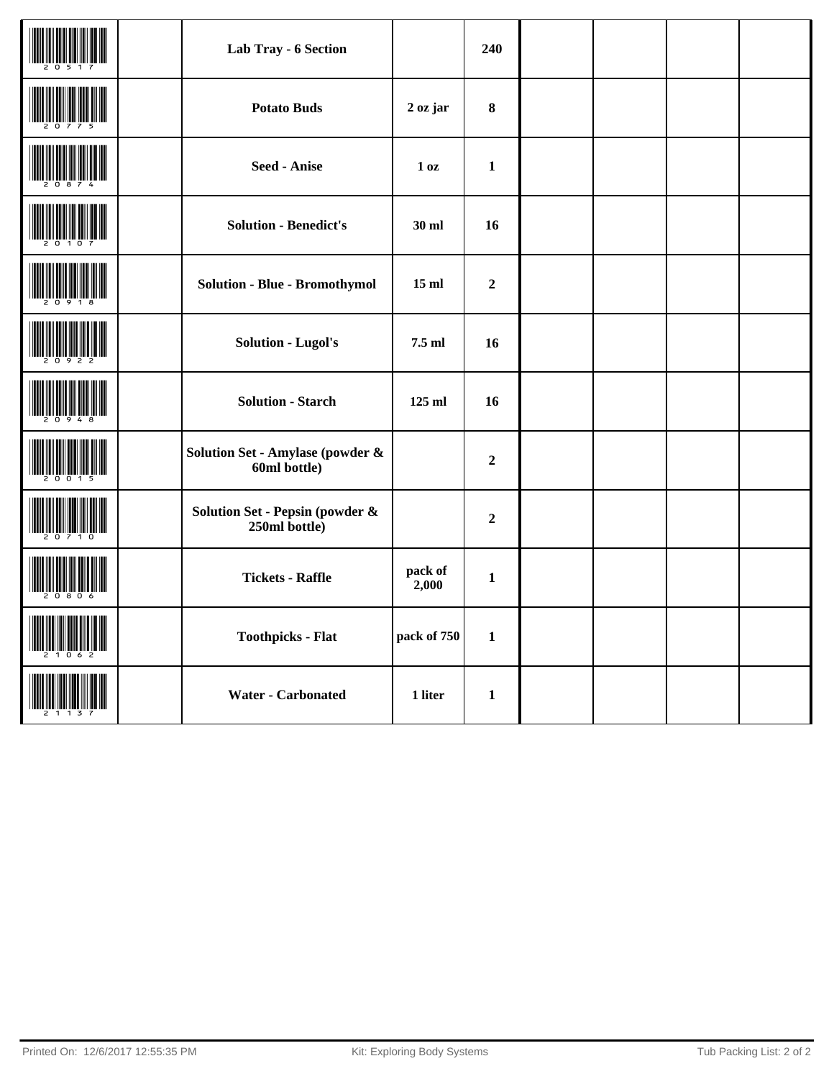|  | Lab Tray - 6 Section                             |                  | 240              |  |  |
|--|--------------------------------------------------|------------------|------------------|--|--|
|  | <b>Potato Buds</b>                               | 2 oz jar         | $\bf{8}$         |  |  |
|  | <b>Seed - Anise</b>                              | 1 <sub>0</sub> z | $\mathbf{1}$     |  |  |
|  | <b>Solution - Benedict's</b>                     | $30$ ml          | 16               |  |  |
|  | <b>Solution - Blue - Bromothymol</b>             | $15$ ml          | $\boldsymbol{2}$ |  |  |
|  | <b>Solution - Lugol's</b>                        | 7.5 ml           | 16               |  |  |
|  | <b>Solution - Starch</b>                         | 125 ml           | 16               |  |  |
|  | Solution Set - Amylase (powder &<br>60ml bottle) |                  | $\mathbf 2$      |  |  |
|  | Solution Set - Pepsin (powder &<br>250ml bottle) |                  | $\boldsymbol{2}$ |  |  |
|  | <b>Tickets - Raffle</b>                          | pack of<br>2,000 | $\mathbf{1}$     |  |  |
|  | <b>Toothpicks - Flat</b>                         | pack of 750      | $\mathbf{1}$     |  |  |
|  | <b>Water - Carbonated</b>                        | 1 liter          | $\mathbf{1}$     |  |  |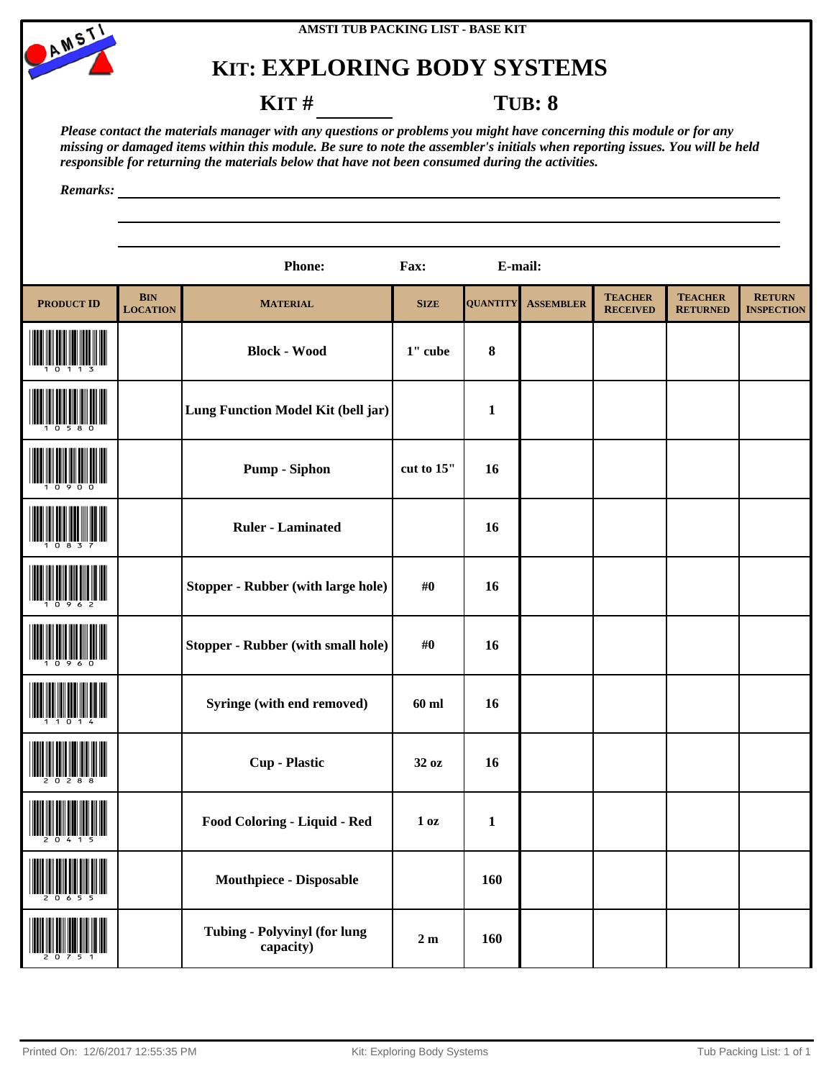



### **KIT # TUB: 8**

*Please contact the materials manager with any questions or problems you might have concerning this module or for any missing or damaged items within this module. Be sure to note the assembler's initials when reporting issues. You will be held responsible for returning the materials below that have not been consumed during the activities.*

|                   |                               | <b>Phone:</b>                                    | Fax:             | E-mail:         |                  |                                   |                                   |                                    |
|-------------------|-------------------------------|--------------------------------------------------|------------------|-----------------|------------------|-----------------------------------|-----------------------------------|------------------------------------|
| <b>PRODUCT ID</b> | <b>BIN</b><br><b>LOCATION</b> | <b>MATERIAL</b>                                  | <b>SIZE</b>      | <b>QUANTITY</b> | <b>ASSEMBLER</b> | <b>TEACHER</b><br><b>RECEIVED</b> | <b>TEACHER</b><br><b>RETURNED</b> | <b>RETURN</b><br><b>INSPECTION</b> |
|                   |                               | <b>Block - Wood</b>                              | 1" cube          | $\bf 8$         |                  |                                   |                                   |                                    |
|                   |                               | Lung Function Model Kit (bell jar)               |                  | $\mathbf{1}$    |                  |                                   |                                   |                                    |
|                   |                               | <b>Pump</b> - Siphon                             | cut to 15"       | 16              |                  |                                   |                                   |                                    |
|                   |                               | <b>Ruler - Laminated</b>                         |                  | 16              |                  |                                   |                                   |                                    |
|                   |                               | <b>Stopper - Rubber (with large hole)</b>        | #0               | 16              |                  |                                   |                                   |                                    |
|                   |                               | <b>Stopper - Rubber (with small hole)</b>        | #0               | 16              |                  |                                   |                                   |                                    |
|                   |                               | Syringe (with end removed)                       | 60 ml            | 16              |                  |                                   |                                   |                                    |
|                   |                               | <b>Cup - Plastic</b>                             | 32 oz            | 16              |                  |                                   |                                   |                                    |
| $\frac{1}{2}$     |                               | Food Coloring - Liquid - Red                     | 1 <sub>0</sub> z | $\mathbf{1}$    |                  |                                   |                                   |                                    |
|                   |                               | <b>Mouthpiece - Disposable</b>                   |                  | 160             |                  |                                   |                                   |                                    |
|                   |                               | <b>Tubing - Polyvinyl (for lung</b><br>capacity) | $2\ {\rm m}$     | 160             |                  |                                   |                                   |                                    |